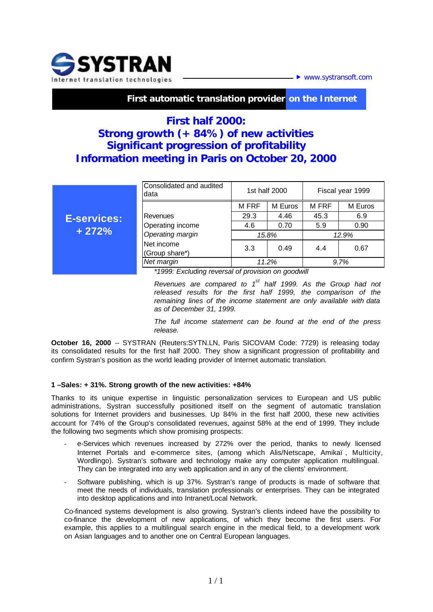

▶ www.systransoft.com

 **First automatic translation provider on the Internet**

# **First half 2000: Strong growth (+ 84%) of new activities Significant progression of profitability Information meeting in Paris on October 20, 2000**

|                               | Consolidated and audited<br>data                   | 1st half 2000 |         | Fiscal year 1999 |         |
|-------------------------------|----------------------------------------------------|---------------|---------|------------------|---------|
| <b>E-services:</b><br>$+272%$ |                                                    | <b>M FRF</b>  | M Euros | M FRF            | M Euros |
|                               | Revenues<br>Operating income                       | 29.3          | 4.46    | 45.3             | 6.9     |
|                               |                                                    | 4.6           | 0.70    | 5.9              | 0.90    |
|                               | Operating margin                                   | 15.8%         |         | 12.9%            |         |
|                               | Net income<br>(Group share*)                       | 3.3           | 0.49    | 4.4              | 0.67    |
|                               | Net margin                                         | 11.2%         |         | 9.7%             |         |
|                               | *1999: Excluding reversal of provision on goodwill |               |         |                  |         |

*Revenues are compared to 1 st half 1999. As the Group had not released results for the first half 1999, the comparison of the remaining lines of the income statement are only available with data as of December 31, 1999.*

*The full income statement can be found at the end of the press release.*

**October 16, 2000** -- SYSTRAN (Reuters: SYTN.LN, Paris SICOVAM Code: 7729) is releasing today its consolidated results for the first half 2000. They show a significant progression of profitability and confirm Systran's position as the world leading provider of Internet automatic translation.

## **1 –Sales: + 31%. Strong growth of the new activities: +84%**

Thanks to its unique expertise in linguistic personalization services to European and US public administrations, Systran successfully positioned itself on the segment of automatic translation solutions for Internet providers and businesses. Up 84% in the first half 2000, these new activities account for 74% of the Group's consolidated revenues, against 58% at the end of 1999. They include the following two segments which show promising prospects:

- e-Services which revenues increased by 272% over the period, thanks to newly licensed Internet Portals and e-commerce sites, (among which Alis/Netscape, Amikaï, Multicity, Wordlingo). Systran's software and technology make any computer application multilingual. They can be integrated into any web application and in any of the clients' environment.
- Software publishing, which is up 37%. Systran's range of products is made of software that meet the needs of individuals, translation professionals or enterprises. They can be integrated into desktop applications and into Intranet/Local Network.

Co-financed systems development is also growing. Systran's clients indeed have the possibility to co-finance the development of new applications, of which they become the first users. For example, this applies to a multilingual search engine in the medical field, to a development work on Asian languages and to another one on Central European languages.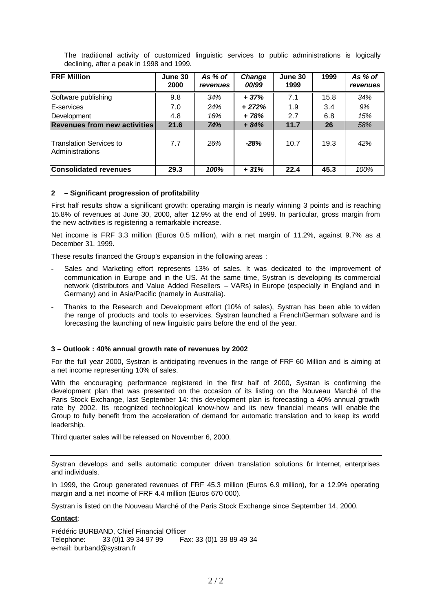| <b>FRF Million</b>                                | June 30<br>2000 | As % of<br>revenues | Change<br>00/99 | June 30<br>1999 | 1999 | As % of<br>revenues |
|---------------------------------------------------|-----------------|---------------------|-----------------|-----------------|------|---------------------|
| Software publishing                               | 9.8             | 34%                 | $+37%$          | 7.1             | 15.8 | 34%                 |
| E-services                                        | 7.0             | 24%                 | $+272%$         | 1.9             | 3.4  | 9%                  |
| Development                                       | 4.8             | 16%                 | $+78%$          | 2.7             | 6.8  | 15%                 |
| <b>Revenues from new activities</b>               | 21.6            | 74%                 | $+84%$          | 11.7            | 26   | 58%                 |
| Translation Services to<br><b>Administrations</b> | 7.7             | 26%                 | $-28%$          | 10.7            | 19.3 | 42%                 |
| <b>Consolidated revenues</b>                      | 29.3            | 100%                | $+31%$          | 22.4            | 45.3 | 100%                |

The traditional activity of customized linguistic services to public administrations is logically declining, after a peak in 1998 and 1999.

### **2 – Significant progression of profitability**

First half results show a significant growth: operating margin is nearly winning 3 points and is reaching 15.8% of revenues at June 30, 2000, after 12.9% at the end of 1999. In particular, gross margin from the new activities is registering a remarkable increase.

Net income is FRF 3.3 million (Euros 0.5 million), with a net margin of 11.2%, against 9.7% as at December 31, 1999.

These results financed the Group's expansion in the following areas :

- Sales and Marketing effort represents 13% of sales. It was dedicated to the improvement of communication in Europe and in the US. At the same time, Systran is developing its commercial network (distributors and Value Added Resellers – VARs) in Europe (especially in England and in Germany) and in Asia/Pacific (namely in Australia).
- Thanks to the Research and Development effort (10% of sales), Systran has been able to widen the range of products and tools to e-services. Systran launched a French/German software and is forecasting the launching of new linguistic pairs before the end of the year.

### **3 – Outlook : 40% annual growth rate of revenues by 2002**

For the full year 2000, Systran is anticipating revenues in the range of FRF 60 Million and is aiming at a net income representing 10% of sales.

With the encouraging performance registered in the first half of 2000, Systran is confirming the development plan that was presented on the occasion of its listing on the Nouveau Marché of the Paris Stock Exchange, last September 14: this development plan is forecasting a 40% annual growth rate by 2002. Its recognized technological know-how and its new financial means will enable the Group to fully benefit from the acceleration of demand for automatic translation and to keep its world leadership.

Third quarter sales will be released on November 6, 2000.

Systran develops and sells automatic computer driven translation solutions or Internet, enterprises and individuals.

In 1999, the Group generated revenues of FRF 45.3 million (Euros 6.9 million), for a 12.9% operating margin and a net income of FRF 4.4 million (Euros 670 000).

Systran is listed on the Nouveau Marché of the Paris Stock Exchange since September 14, 2000.

#### **Contact**:

Frédéric BURBAND, Chief Financial Officer Telephone: 33 (0)1 39 34 97 99 Fax: 33 (0)1 39 89 49 34 e-mail: burband@systran.fr